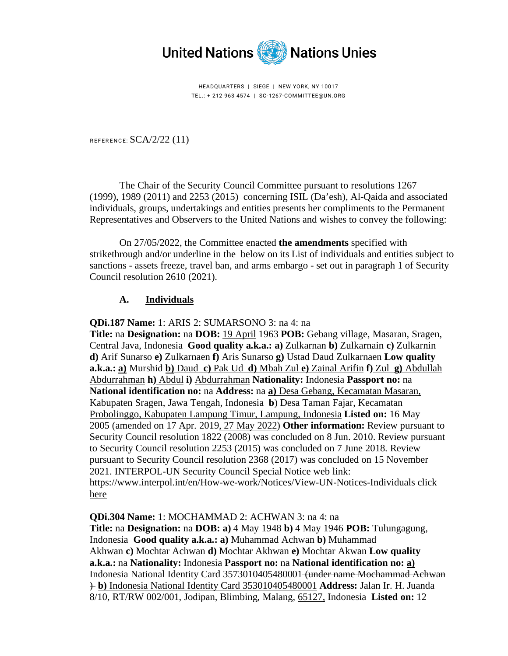

HEADQUARTERS | SIEGE | NEW YORK, NY 10017 TEL.: + 212 963 4574 | SC-1267-COMMITTEE@UN.ORG

REFERENCE: SCA/2/22 (11)

The Chair of the Security Council Committee pursuant to resolutions [1267](https://documents-dds-ny.un.org/doc/UNDOC/GEN/N99/300/44/PDF/N9930044.pdf?OpenElement)  [\(1999\),](https://documents-dds-ny.un.org/doc/UNDOC/GEN/N99/300/44/PDF/N9930044.pdf?OpenElement) [1989 \(2011\)](https://documents-dds-ny.un.org/doc/UNDOC/GEN/N11/380/14/PDF/N1138014.pdf?OpenElement) and [2253 \(2015\)](https://documents-dds-ny.un.org/doc/UNDOC/GEN/N15/437/45/PDF/N1543745.pdf?OpenElement) concerning ISIL (Da'esh), Al-Qaida and associated individuals, groups, undertakings and entities presents her compliments to the Permanent Representatives and Observers to the United Nations and wishes to convey the following:

On 27/05/2022, the Committee enacted **the amendments** specified with strikethrough and/or underline in the below on its List of individuals and entities subject to sanctions - assets freeze, travel ban, and arms embargo - set out in paragraph 1 of Security Council resolution [2610 \(2021\).](https://documents-dds-ny.un.org/doc/UNDOC/GEN/N21/407/97/PDF/N2140797.pdf?OpenElement)

## **A. Individuals**

**QDi.187 Name:** 1: ARIS 2: SUMARSONO 3: na 4: na

**Title:** na **Designation:** na **DOB:** 19 April 1963 **POB:** Gebang village, Masaran, Sragen, Central Java, Indonesia **Good quality a.k.a.: a)** Zulkarnan **b)** Zulkarnain **c)** Zulkarnin **d)** Arif Sunarso **e)** Zulkarnaen **f)** Aris Sunarso **g)** Ustad Daud Zulkarnaen **Low quality a.k.a.: a)** Murshid **b)** Daud **c)** Pak Ud **d)** Mbah Zul **e)** Zainal Arifin **f)** Zul **g)** Abdullah Abdurrahman **h)** Abdul **i)** Abdurrahman **Nationality:** Indonesia **Passport no:** na **National identification no:** na **Address:** na **a)** Desa Gebang, Kecamatan Masaran, Kabupaten Sragen, Jawa Tengah, Indonesia **b**) Desa Taman Fajar, Kecamatan Probolinggo, Kabupaten Lampung Timur, Lampung, Indonesia **Listed on:** 16 May 2005 (amended on 17 Apr. 2019, 27 May 2022) **Other information:** Review pursuant to Security Council resolution 1822 (2008) was concluded on 8 Jun. 2010. Review pursuant to Security Council resolution 2253 (2015) was concluded on 7 June 2018. Review pursuant to Security Council resolution 2368 (2017) was concluded on 15 November 2021. INTERPOL-UN Security Council Special Notice web link: https://www.interpol.int/en/How-we-work/Notices/View-UN-Notices-Individuals [click](https://www.interpol.int/en/How-we-work/Notices/View-UN-Notices-Individuals) [here](https://www.interpol.int/en/How-we-work/Notices/View-UN-Notices-Individuals)

**QDi.304 Name:** 1: MOCHAMMAD 2: ACHWAN 3: na 4: na **Title:** na **Designation:** na **DOB: a)** 4 May 1948 **b)** 4 May 1946 **POB:** Tulungagung, Indonesia **Good quality a.k.a.: a)** Muhammad Achwan **b)** Muhammad Akhwan **c)** Mochtar Achwan **d)** Mochtar Akhwan **e)** Mochtar Akwan **Low quality a.k.a.:** na **Nationality:** Indonesia **Passport no:** na **National identification no: a)** Indonesia National Identity Card 3573010405480001 (under name Mochammad Achwan ) **b)** Indonesia National Identity Card 353010405480001 **Address:** Jalan Ir. H. Juanda 8/10, RT/RW 002/001, Jodipan, Blimbing, Malang, 65127, Indonesia **Listed on:** 12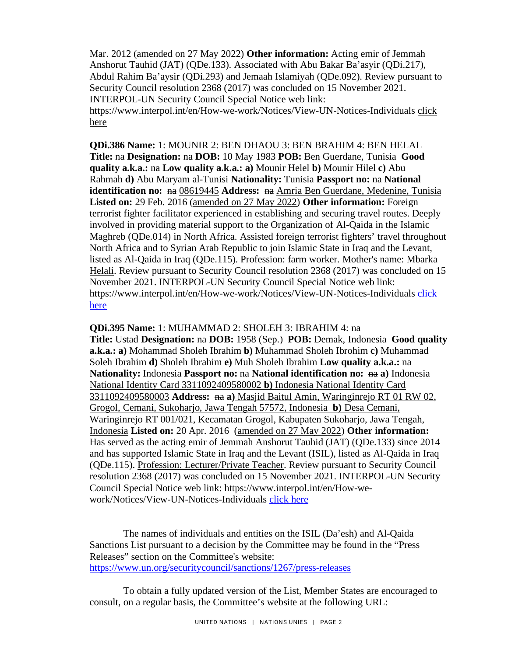Mar. 2012 (amended on 27 May 2022) **Other information:** Acting emir of Jemmah Anshorut Tauhid (JAT) (QDe.133). Associated with Abu Bakar Ba'asyir (QDi.217), Abdul Rahim Ba'aysir (QDi.293) and Jemaah Islamiyah (QDe.092). Review pursuant to Security Council resolution 2368 (2017) was concluded on 15 November 2021. INTERPOL-UN Security Council Special Notice web link: https://www.interpol.int/en/How-we-work/Notices/View-UN-Notices-Individuals [click](https://www.interpol.int/en/How-we-work/Notices/View-UN-Notices-Individuals)  [here](https://www.interpol.int/en/How-we-work/Notices/View-UN-Notices-Individuals)

**QDi.386 Name:** 1: MOUNIR 2: BEN DHAOU 3: BEN BRAHIM 4: BEN HELAL **Title:** na **Designation:** na **DOB:** 10 May 1983 **POB:** Ben Guerdane, Tunisia **Good quality a.k.a.:** na **Low quality a.k.a.: a)** Mounir Helel **b)** Mounir Hilel **c)** Abu Rahmah **d)** Abu Maryam al-Tunisi **Nationality:** Tunisia **Passport no:** na **National identification no:** <del>na</del> 08619445 **Address:** na Amria Ben Guerdane, Medenine, Tunisia **Listed on:** 29 Feb. 2016 (amended on 27 May 2022) **Other information:** Foreign terrorist fighter facilitator experienced in establishing and securing travel routes. Deeply involved in providing material support to the Organization of Al-Qaida in the Islamic Maghreb (QDe.014) in North Africa. Assisted foreign terrorist fighters' travel throughout North Africa and to Syrian Arab Republic to join Islamic State in Iraq and the Levant, listed as Al-Qaida in Iraq (QDe.115). Profession: farm worker. Mother's name: Mbarka Helali. Review pursuant to Security Council resolution 2368 (2017) was concluded on 15 November 2021. INTERPOL-UN Security Council Special Notice web link: https://www.interpol.int/en/How-we-work/Notices/View-UN-Notices-Individuals click [here](https://www.interpol.int/en/How-we-work/Notices/View-UN-Notices-Individuals)

**QDi.395 Name:** 1: MUHAMMAD 2: SHOLEH 3: IBRAHIM 4: na **Title:** Ustad **Designation:** na **DOB:** 1958 (Sep.) **POB:** Demak, Indonesia **Good quality a.k.a.: a)** Mohammad Sholeh Ibrahim **b)** Muhammad Sholeh Ibrohim **c)** Muhammad Soleh Ibrahim **d)** Sholeh Ibrahim **e)** Muh Sholeh Ibrahim **Low quality a.k.a.:** na **Nationality:** Indonesia **Passport no:** na **National identification no:** na **a**) Indonesia National Identity Card 3311092409580002 **b)** Indonesia National Identity Card 3311092409580003 **Address:** na **a)** Masjid Baitul Amin, Waringinrejo RT 01 RW 02, Grogol, Cemani, Sukoharjo, Jawa Tengah 57572, Indonesia **b)** Desa Cemani, Waringinrejo RT 001/021, Kecamatan Grogol, Kabupaten Sukoharjo, Jawa Tengah, Indonesia **Listed on:** 20 Apr. 2016 (amended on 27 May 2022) **Other information:** Has served as the acting emir of Jemmah Anshorut Tauhid (JAT) (QDe.133) since 2014 and has supported Islamic State in Iraq and the Levant (ISIL), listed as Al-Qaida in Iraq (QDe.115). Profession: Lecturer/Private Teacher. Review pursuant to Security Council resolution 2368 (2017) was concluded on 15 November 2021. INTERPOL-UN Security Council Special Notice web link: https://www.interpol.int/en/How-wework/Notices/View-UN-Notices-Individuals [click here](https://www.interpol.int/en/How-we-work/Notices/View-UN-Notices-Individuals)

The names of individuals and entities on the ISIL (Da'esh) and Al-Qaida Sanctions List pursuant to a decision by the Committee may be found in the "Press Releases" section on the Committee's website: <https://www.un.org/securitycouncil/sanctions/1267/press-releases>

To obtain a fully updated version of the List, Member States are encouraged to consult, on a regular basis, the Committee's website at the following URL: